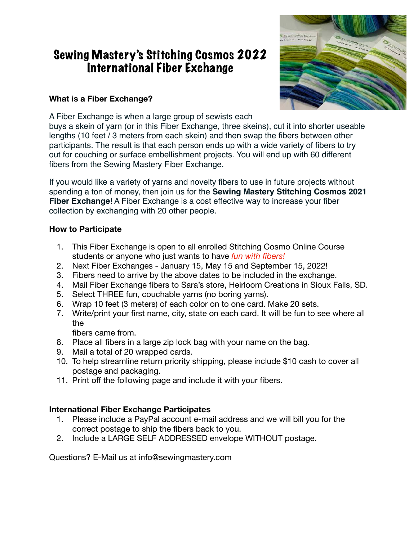# Sewing Mastery's Stitching Cosmos 2022 International Fiber Exchange

### **What is a Fiber Exchange?**



A Fiber Exchange is when a large group of sewists each

buys a skein of yarn (or in this Fiber Exchange, three skeins), cut it into shorter useable lengths (10 feet / 3 meters from each skein) and then swap the fibers between other participants. The result is that each person ends up with a wide variety of fibers to try out for couching or surface embellishment projects. You will end up with 60 different fibers from the Sewing Mastery Fiber Exchange.

If you would like a variety of yarns and novelty fibers to use in future projects without spending a ton of money, then join us for the **Sewing Mastery Stitching Cosmos 2021 Fiber Exchange**! A Fiber Exchange is a cost effective way to increase your fiber collection by exchanging with 20 other people.

### **How to Participate**

- 1. This Fiber Exchange is open to all enrolled Stitching Cosmo Online Course students or anyone who just wants to have *fun with fibers!*
- 2. Next Fiber Exchanges January 15, May 15 and September 15, 2022!
- 3. Fibers need to arrive by the above dates to be included in the exchange.
- 4. Mail Fiber Exchange fibers to Sara's store, Heirloom Creations in Sioux Falls, SD.
- 5. Select THREE fun, couchable yarns (no boring yarns).
- 6. Wrap 10 feet (3 meters) of each color on to one card. Make 20 sets.
- 7. Write/print your first name, city, state on each card. It will be fun to see where all the

fibers came from.

- 8. Place all fibers in a large zip lock bag with your name on the bag.
- 9. Mail a total of 20 wrapped cards.
- 10. To help streamline return priority shipping, please include \$10 cash to cover all postage and packaging.
- 11. Print off the following page and include it with your fibers.

# **International Fiber Exchange Participates**

- 1. Please include a PayPal account e-mail address and we will bill you for the correct postage to ship the fibers back to you.
- 2. Include a LARGE SELF ADDRESSED envelope WITHOUT postage.

Questions? E-Mail us at info@sewingmastery.com